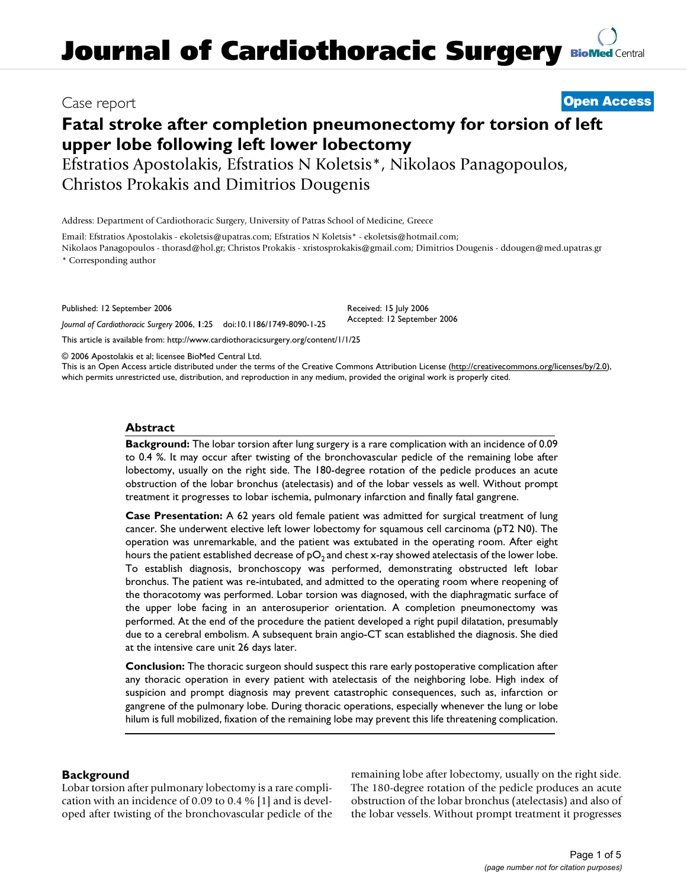# Case report **[Open Access](http://www.biomedcentral.com/info/about/charter/)**

# **Fatal stroke after completion pneumonectomy for torsion of left upper lobe following left lower lobectomy**

Efstratios Apostolakis, Efstratios N Koletsis\*, Nikolaos Panagopoulos, Christos Prokakis and Dimitrios Dougenis

Address: Department of Cardiothoracic Surgery, University of Patras School of Medicine, Greece

Email: Efstratios Apostolakis - ekoletsis@upatras.com; Efstratios N Koletsis\* - ekoletsis@hotmail.com; Nikolaos Panagopoulos - thorasd@hol.gr; Christos Prokakis - xristosprokakis@gmail.com; Dimitrios Dougenis - ddougen@med.upatras.gr

\* Corresponding author

Published: 12 September 2006

*Journal of Cardiothoracic Surgery* 2006, **1**:25 doi:10.1186/1749-8090-1-25

[This article is available from: http://www.cardiothoracicsurgery.org/content/1/1/25](http://www.cardiothoracicsurgery.org/content/1/1/25)

© 2006 Apostolakis et al; licensee BioMed Central Ltd.

This is an Open Access article distributed under the terms of the Creative Commons Attribution License [\(http://creativecommons.org/licenses/by/2.0\)](http://creativecommons.org/licenses/by/2.0), which permits unrestricted use, distribution, and reproduction in any medium, provided the original work is properly cited.

Received: 15 July 2006 Accepted: 12 September 2006

### **Abstract**

**Background:** The lobar torsion after lung surgery is a rare complication with an incidence of 0.09 to 0.4 %. It may occur after twisting of the bronchovascular pedicle of the remaining lobe after lobectomy, usually on the right side. The 180-degree rotation of the pedicle produces an acute obstruction of the lobar bronchus (atelectasis) and of the lobar vessels as well. Without prompt treatment it progresses to lobar ischemia, pulmonary infarction and finally fatal gangrene.

**Case Presentation:** A 62 years old female patient was admitted for surgical treatment of lung cancer. She underwent elective left lower lobectomy for squamous cell carcinoma ( $pT2$  N0). The operation was unremarkable, and the patient was extubated in the operating room. After eight hours the patient established decrease of  $pO<sub>2</sub>$  and chest x-ray showed atelectasis of the lower lobe. To establish diagnosis, bronchoscopy was performed, demonstrating obstructed left lobar bronchus. The patient was re-intubated, and admitted to the operating room where reopening of the thoracotomy was performed. Lobar torsion was diagnosed, with the diaphragmatic surface of the upper lobe facing in an anterosuperior orientation. A completion pneumonectomy was performed. At the end of the procedure the patient developed a right pupil dilatation, presumably due to a cerebral embolism. A subsequent brain angio-CT scan established the diagnosis. She died at the intensive care unit 26 days later.

**Conclusion:** The thoracic surgeon should suspect this rare early postoperative complication after any thoracic operation in every patient with atelectasis of the neighboring lobe. High index of suspicion and prompt diagnosis may prevent catastrophic consequences, such as, infarction or gangrene of the pulmonary lobe. During thoracic operations, especially whenever the lung or lobe hilum is full mobilized, fixation of the remaining lobe may prevent this life threatening complication.

# **Background**

Lobar torsion after pulmonary lobectomy is a rare complication with an incidence of 0.09 to 0.4 % [1] and is developed after twisting of the bronchovascular pedicle of the remaining lobe after lobectomy, usually on the right side. The 180-degree rotation of the pedicle produces an acute obstruction of the lobar bronchus (atelectasis) and also of the lobar vessels. Without prompt treatment it progresses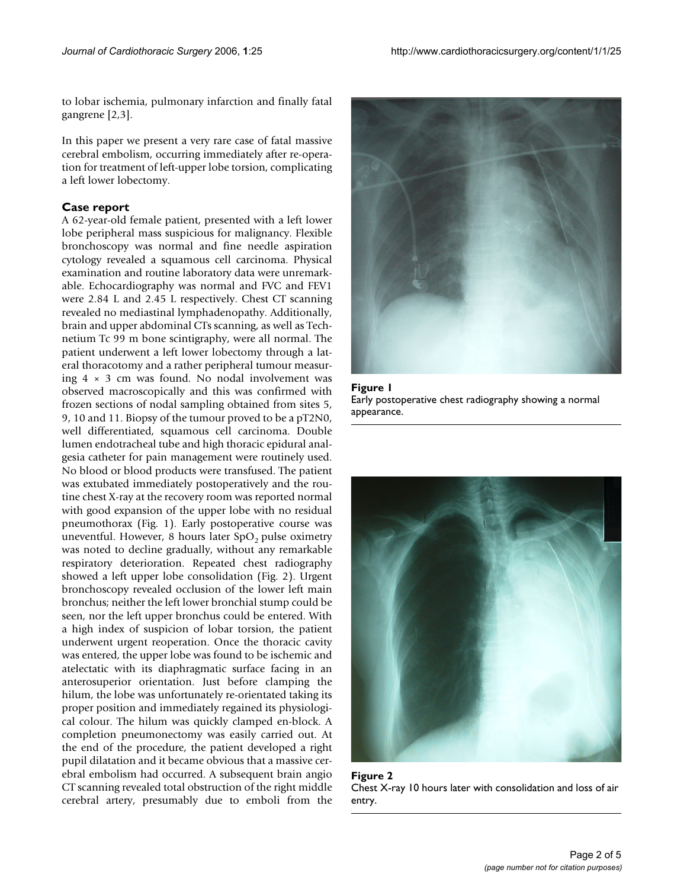to lobar ischemia, pulmonary infarction and finally fatal gangrene [2,3].

In this paper we present a very rare case of fatal massive cerebral embolism, occurring immediately after re-operation for treatment of left-upper lobe torsion, complicating a left lower lobectomy.

#### **Case report**

A 62-year-old female patient, presented with a left lower lobe peripheral mass suspicious for malignancy. Flexible bronchoscopy was normal and fine needle aspiration cytology revealed a squamous cell carcinoma. Physical examination and routine laboratory data were unremarkable. Echocardiography was normal and FVC and FEV1 were 2.84 L and 2.45 L respectively. Chest CT scanning revealed no mediastinal lymphadenopathy. Additionally, brain and upper abdominal CTs scanning, as well as Technetium Tc 99 m bone scintigraphy, were all normal. The patient underwent a left lower lobectomy through a lateral thoracotomy and a rather peripheral tumour measuring  $4 \times 3$  cm was found. No nodal involvement was observed macroscopically and this was confirmed with frozen sections of nodal sampling obtained from sites 5, 9, 10 and 11. Biopsy of the tumour proved to be a pT2N0, well differentiated, squamous cell carcinoma. Double lumen endotracheal tube and high thoracic epidural analgesia catheter for pain management were routinely used. No blood or blood products were transfused. The patient was extubated immediately postoperatively and the routine chest X-ray at the recovery room was reported normal with good expansion of the upper lobe with no residual pneumothorax (Fig. 1). Early postoperative course was uneventful. However, 8 hours later  $SpO<sub>2</sub>$  pulse oximetry was noted to decline gradually, without any remarkable respiratory deterioration. Repeated chest radiography showed a left upper lobe consolidation (Fig. 2). Urgent bronchoscopy revealed occlusion of the lower left main bronchus; neither the left lower bronchial stump could be seen, nor the left upper bronchus could be entered. With a high index of suspicion of lobar torsion, the patient underwent urgent reoperation. Once the thoracic cavity was entered, the upper lobe was found to be ischemic and atelectatic with its diaphragmatic surface facing in an anterosuperior orientation. Just before clamping the hilum, the lobe was unfortunately re-orientated taking its proper position and immediately regained its physiological colour. The hilum was quickly clamped en-block. A completion pneumonectomy was easily carried out. At the end of the procedure, the patient developed a right pupil dilatation and it became obvious that a massive cerebral embolism had occurred. A subsequent brain angio CT scanning revealed total obstruction of the right middle cerebral artery, presumably due to emboli from the







Figure 2 Chest X-ray 10 hours later with consolidation and loss of air entry.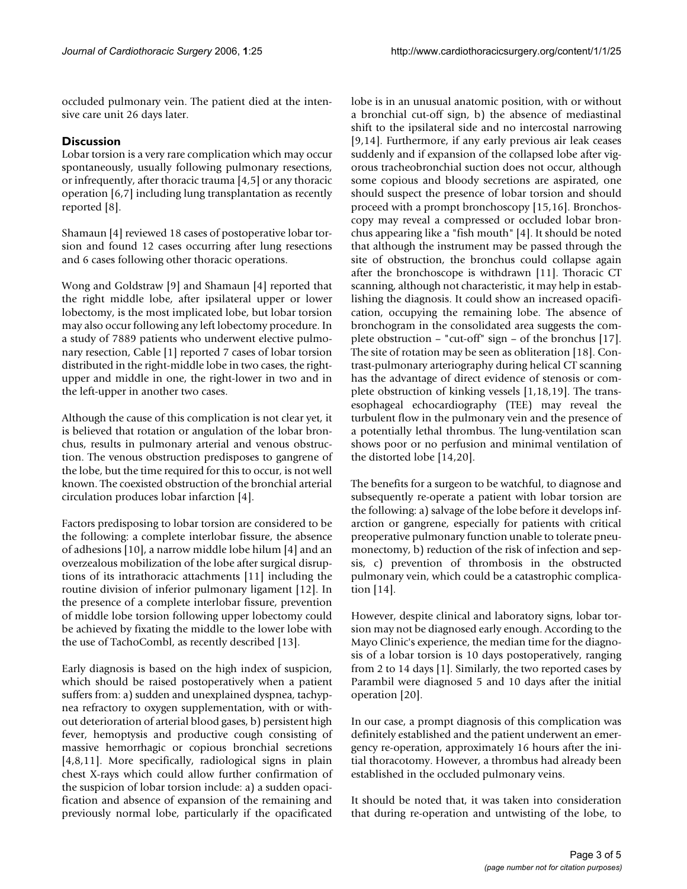occluded pulmonary vein. The patient died at the intensive care unit 26 days later.

## **Discussion**

Lobar torsion is a very rare complication which may occur spontaneously, usually following pulmonary resections, or infrequently, after thoracic trauma [4,5] or any thoracic operation [6,7] including lung transplantation as recently reported [8].

Shamaun [4] reviewed 18 cases of postoperative lobar torsion and found 12 cases occurring after lung resections and 6 cases following other thoracic operations.

Wong and Goldstraw [9] and Shamaun [4] reported that the right middle lobe, after ipsilateral upper or lower lobectomy, is the most implicated lobe, but lobar torsion may also occur following any left lobectomy procedure. In a study of 7889 patients who underwent elective pulmonary resection, Cable [1] reported 7 cases of lobar torsion distributed in the right-middle lobe in two cases, the rightupper and middle in one, the right-lower in two and in the left-upper in another two cases.

Although the cause of this complication is not clear yet, it is believed that rotation or angulation of the lobar bronchus, results in pulmonary arterial and venous obstruction. The venous obstruction predisposes to gangrene of the lobe, but the time required for this to occur, is not well known. The coexisted obstruction of the bronchial arterial circulation produces lobar infarction [4].

Factors predisposing to lobar torsion are considered to be the following: a complete interlobar fissure, the absence of adhesions [10], a narrow middle lobe hilum [4] and an overzealous mobilization of the lobe after surgical disruptions of its intrathoracic attachments [11] including the routine division of inferior pulmonary ligament [12]. In the presence of a complete interlobar fissure, prevention of middle lobe torsion following upper lobectomy could be achieved by fixating the middle to the lower lobe with the use of TachoCombl, as recently described [13].

Early diagnosis is based on the high index of suspicion, which should be raised postoperatively when a patient suffers from: a) sudden and unexplained dyspnea, tachypnea refractory to oxygen supplementation, with or without deterioration of arterial blood gases, b) persistent high fever, hemoptysis and productive cough consisting of massive hemorrhagic or copious bronchial secretions [4,8,11]. More specifically, radiological signs in plain chest X-rays which could allow further confirmation of the suspicion of lobar torsion include: a) a sudden opacification and absence of expansion of the remaining and previously normal lobe, particularly if the opacificated

lobe is in an unusual anatomic position, with or without a bronchial cut-off sign, b) the absence of mediastinal shift to the ipsilateral side and no intercostal narrowing [9,14]. Furthermore, if any early previous air leak ceases suddenly and if expansion of the collapsed lobe after vigorous tracheobronchial suction does not occur, although some copious and bloody secretions are aspirated, one should suspect the presence of lobar torsion and should proceed with a prompt bronchoscopy [15,16]. Bronchoscopy may reveal a compressed or occluded lobar bronchus appearing like a "fish mouth" [4]. It should be noted that although the instrument may be passed through the site of obstruction, the bronchus could collapse again after the bronchoscope is withdrawn [11]. Thoracic CT scanning, although not characteristic, it may help in establishing the diagnosis. It could show an increased opacification, occupying the remaining lobe. The absence of bronchogram in the consolidated area suggests the complete obstruction – "cut-off" sign – of the bronchus [17]. The site of rotation may be seen as obliteration [18]. Contrast-pulmonary arteriography during helical CT scanning has the advantage of direct evidence of stenosis or complete obstruction of kinking vessels [1,18,19]. The transesophageal echocardiography (TEE) may reveal the turbulent flow in the pulmonary vein and the presence of a potentially lethal thrombus. The lung-ventilation scan shows poor or no perfusion and minimal ventilation of the distorted lobe [14,20].

The benefits for a surgeon to be watchful, to diagnose and subsequently re-operate a patient with lobar torsion are the following: a) salvage of the lobe before it develops infarction or gangrene, especially for patients with critical preoperative pulmonary function unable to tolerate pneumonectomy, b) reduction of the risk of infection and sepsis, c) prevention of thrombosis in the obstructed pulmonary vein, which could be a catastrophic complication [14].

However, despite clinical and laboratory signs, lobar torsion may not be diagnosed early enough. According to the Mayo Clinic's experience, the median time for the diagnosis of a lobar torsion is 10 days postoperatively, ranging from 2 to 14 days [1]. Similarly, the two reported cases by Parambil were diagnosed 5 and 10 days after the initial operation [20].

In our case, a prompt diagnosis of this complication was definitely established and the patient underwent an emergency re-operation, approximately 16 hours after the initial thoracotomy. However, a thrombus had already been established in the occluded pulmonary veins.

It should be noted that, it was taken into consideration that during re-operation and untwisting of the lobe, to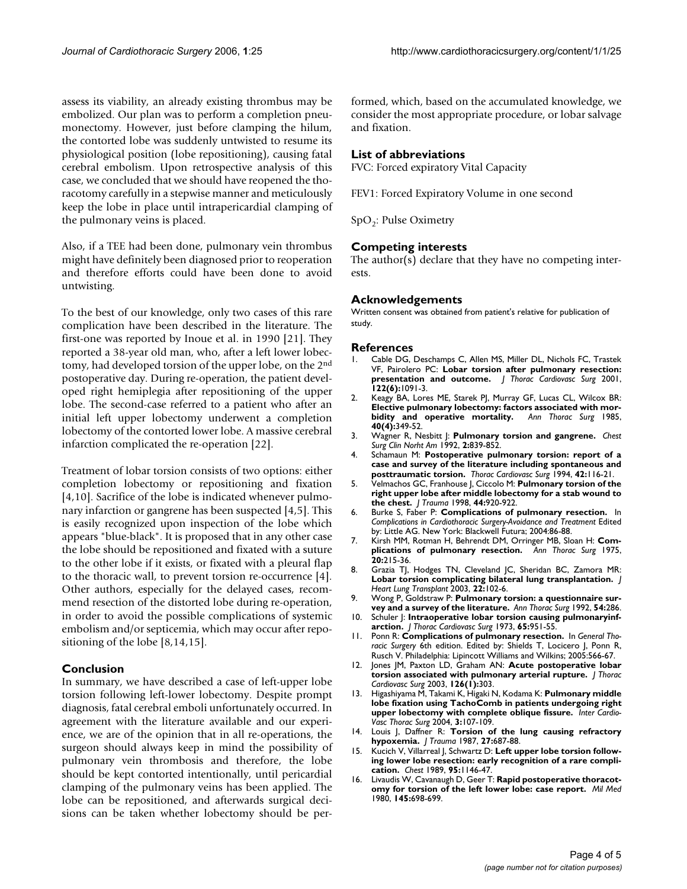assess its viability, an already existing thrombus may be embolized. Our plan was to perform a completion pneumonectomy. However, just before clamping the hilum, the contorted lobe was suddenly untwisted to resume its physiological position (lobe repositioning), causing fatal cerebral embolism. Upon retrospective analysis of this case, we concluded that we should have reopened the thoracotomy carefully in a stepwise manner and meticulously keep the lobe in place until intrapericardial clamping of the pulmonary veins is placed.

Also, if a TEE had been done, pulmonary vein thrombus might have definitely been diagnosed prior to reoperation and therefore efforts could have been done to avoid untwisting.

To the best of our knowledge, only two cases of this rare complication have been described in the literature. The first-one was reported by Inoue et al. in 1990 [21]. They reported a 38-year old man, who, after a left lower lobectomy, had developed torsion of the upper lobe, on the 2nd postoperative day. During re-operation, the patient developed right hemiplegia after repositioning of the upper lobe. The second-case referred to a patient who after an initial left upper lobectomy underwent a completion lobectomy of the contorted lower lobe. A massive cerebral infarction complicated the re-operation [22].

Treatment of lobar torsion consists of two options: either completion lobectomy or repositioning and fixation [4,10]. Sacrifice of the lobe is indicated whenever pulmonary infarction or gangrene has been suspected [4,5]. This is easily recognized upon inspection of the lobe which appears "blue-black". It is proposed that in any other case the lobe should be repositioned and fixated with a suture to the other lobe if it exists, or fixated with a pleural flap to the thoracic wall, to prevent torsion re-occurrence [4]. Other authors, especially for the delayed cases, recommend resection of the distorted lobe during re-operation, in order to avoid the possible complications of systemic embolism and/or septicemia, which may occur after repositioning of the lobe [8,14,15].

#### **Conclusion**

In summary, we have described a case of left-upper lobe torsion following left-lower lobectomy. Despite prompt diagnosis, fatal cerebral emboli unfortunately occurred. In agreement with the literature available and our experience, we are of the opinion that in all re-operations, the surgeon should always keep in mind the possibility of pulmonary vein thrombosis and therefore, the lobe should be kept contorted intentionally, until pericardial clamping of the pulmonary veins has been applied. The lobe can be repositioned, and afterwards surgical decisions can be taken whether lobectomy should be performed, which, based on the accumulated knowledge, we consider the most appropriate procedure, or lobar salvage and fixation.

#### **List of abbreviations**

FVC: Forced expiratory Vital Capacity

FEV1: Forced Expiratory Volume in one second

 $SpO<sub>2</sub>:$  Pulse Oximetry

#### **Competing interests**

The author(s) declare that they have no competing interests.

#### **Acknowledgements**

Written consent was obtained from patient's relative for publication of study.

#### **References**

- 1. Cable DG, Deschamps C, Allen MS, Miller DL, Nichols FC, Trastek VF, Pairolero PC: **[Lobar torsion after pulmonary resection:](http://www.ncbi.nlm.nih.gov/entrez/query.fcgi?cmd=Retrieve&db=PubMed&dopt=Abstract&list_uids=11726883) [presentation and outcome.](http://www.ncbi.nlm.nih.gov/entrez/query.fcgi?cmd=Retrieve&db=PubMed&dopt=Abstract&list_uids=11726883)** *J Thorac Cardiovasc Surg* 2001, **122(6):**1091-3.
- 2. Keagy BA, Lores ME, Starek PJ, Murray GF, Lucas CL, Wilcox BR: **Elective pulmonary lobectomy: factors associated with mor-<br>bidity and operative mortality.** Ann Thorac Surg 1985, [bidity and operative mortality.](http://www.ncbi.nlm.nih.gov/entrez/query.fcgi?cmd=Retrieve&db=PubMed&dopt=Abstract&list_uids=4051616) **40(4):**349-52.
- 3. Wagner R, Nesbitt J: **Pulmonary torsion and gangrene.** *Chest Surg Clin Norht Am* 1992, **2:**839-852.
- 4. Schamaun M: **[Postoperative pulmonary torsion: report of a](http://www.ncbi.nlm.nih.gov/entrez/query.fcgi?cmd=Retrieve&db=PubMed&dopt=Abstract&list_uids=8016826) [case and survey of the literature including spontaneous and](http://www.ncbi.nlm.nih.gov/entrez/query.fcgi?cmd=Retrieve&db=PubMed&dopt=Abstract&list_uids=8016826) [posttraumatic torsion.](http://www.ncbi.nlm.nih.gov/entrez/query.fcgi?cmd=Retrieve&db=PubMed&dopt=Abstract&list_uids=8016826)** *Thorac Cardiovasc Surg* 1994, **42:**116-21.
- 5. Velmachos GC, Franhouse J, Ciccolo M: **[Pulmonary torsion of the](http://www.ncbi.nlm.nih.gov/entrez/query.fcgi?cmd=Retrieve&db=PubMed&dopt=Abstract&list_uids=9603101) [right upper lobe after middle lobectomy for a stab wound to](http://www.ncbi.nlm.nih.gov/entrez/query.fcgi?cmd=Retrieve&db=PubMed&dopt=Abstract&list_uids=9603101) [the chest.](http://www.ncbi.nlm.nih.gov/entrez/query.fcgi?cmd=Retrieve&db=PubMed&dopt=Abstract&list_uids=9603101)** *J Trauma* 1998, **44:**920-922.
- 6. Burke S, Faber P: **Complications of pulmonary resection.** In *Complications in Cardiothoracic Surgery-Avoidance and Treatment* Edited by: Little AG. New York: Blackwell Futura; 2004:86-88.
- 7. Kirsh MM, Rotman H, Behrendt DM, Orringer MB, Sloan H: **[Com](http://www.ncbi.nlm.nih.gov/entrez/query.fcgi?cmd=Retrieve&db=PubMed&dopt=Abstract&list_uids=1099996)[plications of pulmonary resection.](http://www.ncbi.nlm.nih.gov/entrez/query.fcgi?cmd=Retrieve&db=PubMed&dopt=Abstract&list_uids=1099996)** *Ann Thorac Surg* 1975, **20:**215-36.
- 8. Grazia TJ, Hodges TN, Cleveland JC, Sheridan BC, Zamora MR: **[Lobar torsion complicating bilateral lung transplantation.](http://www.ncbi.nlm.nih.gov/entrez/query.fcgi?cmd=Retrieve&db=PubMed&dopt=Abstract&list_uids=12531421)** *J Heart Lung Transplant* 2003, **22:**102-6.
- 9. Wong P, Goldstraw P: **[Pulmonary torsion: a questionnaire sur](http://www.ncbi.nlm.nih.gov/entrez/query.fcgi?cmd=Retrieve&db=PubMed&dopt=Abstract&list_uids=1637221)[vey and a survey of the literature.](http://www.ncbi.nlm.nih.gov/entrez/query.fcgi?cmd=Retrieve&db=PubMed&dopt=Abstract&list_uids=1637221)** *Ann Thorac Surg* 1992, **54:**286.
- 10. Schuler J: **[Intraoperative lobar torsion causing pulmonaryinf](http://www.ncbi.nlm.nih.gov/entrez/query.fcgi?cmd=Retrieve&db=PubMed&dopt=Abstract&list_uids=4704245)[arction.](http://www.ncbi.nlm.nih.gov/entrez/query.fcgi?cmd=Retrieve&db=PubMed&dopt=Abstract&list_uids=4704245)** *J Thorac Cardiovasc Surg* 1973, **65:**951-55.
- 11. Ponn R: **Complications of pulmonary resection.** In *General Thoracic Surgery* 6th edition. Edited by: Shields T, Locicero J, Ponn R, Rusch V. Philadelphia: Lipincott Williams and Wilkins; 2005:566-67.
- 12. Jones JM, Paxton LD, Graham AN: **[Acute postoperative lobar](http://www.ncbi.nlm.nih.gov/entrez/query.fcgi?cmd=Retrieve&db=PubMed&dopt=Abstract&list_uids=12878976) [torsion associated with pulmonary arterial rupture.](http://www.ncbi.nlm.nih.gov/entrez/query.fcgi?cmd=Retrieve&db=PubMed&dopt=Abstract&list_uids=12878976)** *J Thorac Cardiovasc Surg* 2003, **126(1):**303.
- 13. Higashiyama M, Takami K, Higaki N, Kodama K: **Pulmonary middle lobe fixation using TachoComb in patients undergoing right upper lobectomy with complete oblique fissure.** *Inter Cardio-Vasc Thorac Surg* 2004, **3:**107-109.
- 14. Louis J, Daffner R: [Torsion of the lung causing refractory](http://www.ncbi.nlm.nih.gov/entrez/query.fcgi?cmd=Retrieve&db=PubMed&dopt=Abstract&list_uids=3599118) **[hypoxemia.](http://www.ncbi.nlm.nih.gov/entrez/query.fcgi?cmd=Retrieve&db=PubMed&dopt=Abstract&list_uids=3599118)** *J Trauma* 1987, **27:**687-88.
- 15. Kucich V, Villarreal J, Schwartz D: **[Left upper lobe torsion follow](http://www.ncbi.nlm.nih.gov/entrez/query.fcgi?cmd=Retrieve&db=PubMed&dopt=Abstract&list_uids=2707071)[ing lower lobe resection: early recognition of a rare compli](http://www.ncbi.nlm.nih.gov/entrez/query.fcgi?cmd=Retrieve&db=PubMed&dopt=Abstract&list_uids=2707071)[cation.](http://www.ncbi.nlm.nih.gov/entrez/query.fcgi?cmd=Retrieve&db=PubMed&dopt=Abstract&list_uids=2707071)** *Chest* 1989, **95:**1146-47.
- 16. Livaudis W, Cavanaugh D, Geer T: **[Rapid postoperative thoracot](http://www.ncbi.nlm.nih.gov/entrez/query.fcgi?cmd=Retrieve&db=PubMed&dopt=Abstract&list_uids=6776432)[omy for torsion of the left lower lobe: case report.](http://www.ncbi.nlm.nih.gov/entrez/query.fcgi?cmd=Retrieve&db=PubMed&dopt=Abstract&list_uids=6776432)** *Mil Med* 1980, **145:**698-699.